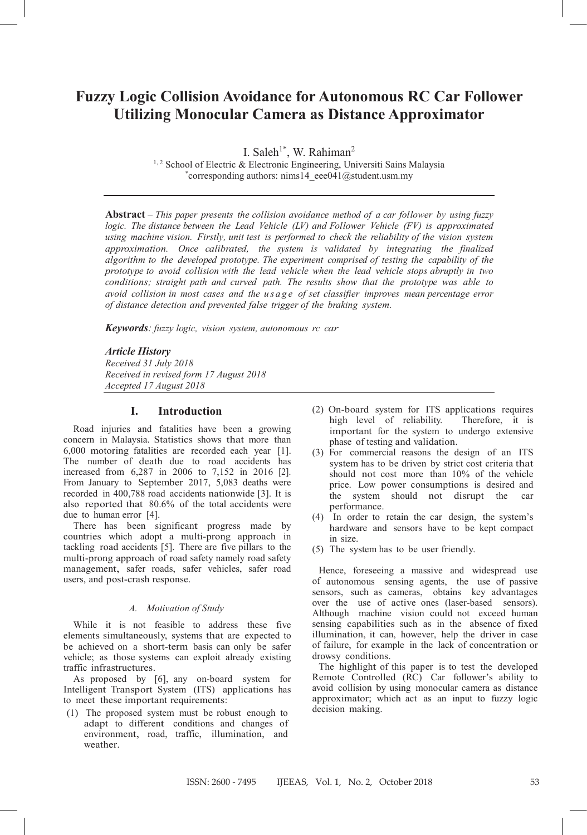# **Fuzzy Logic Collision Avoidance for Autonomous RC Car Follower Utilizing Monocular Camera as Distance Approximator**

I. Saleh<sup>1\*</sup>, W. Rahiman<sup>2</sup>

<sup>1, 2</sup> School of Electric & Electronic Engineering, Universiti Sains Malaysia \* corresponding authors: nims14\_eee041@student.usm.my

**Abstract** – *This paper presents the collision avoidance method of a car follower by using fuzzy logic. The distance between the Lead Vehicle (LV) and Follower Vehicle (FV) is approximated using machine vision. Firstly, unit test is performed to check the reliability of the vision system approximation. Once calibrated, the system is validated by integrating the finalized algorithm to the developed prototype. The experiment comprised of testing the capability of the prototype to avoid collision with the lead vehicle when the lead vehicle stops abruptly in two conditions; straight path and curved path. The results show that the prototype was able to avoid collision in most cases and the usage of set classifier improves mean percentage error of distance detection and prevented false trigger of the braking system.* 

*Keywords: fuzzy logic, vision system, autonomous rc car*

### *Article History*

*Received 31 July 2018 Received in revised form 17 August 2018 Accepted 17 August 2018*

# **I. Introduction**

Road injuries and fatalities have been a growing concern in Malaysia. Statistics shows that more than 6,000 motoring fatalities are recorded each year [1]. The number of death due to road accidents has increased from 6,287 in 2006 to 7,152 in 2016 [2]. From January to September 2017, 5,083 deaths were recorded in 400,788 road accidents nationwide [3]. It is also reported that 80.6% of the total accidents were due to human error [4].

There has been significant progress made by countries which adopt a multi-prong approach in tackling road accidents [5]. There are five pillars to the multi-prong approach of road safety namely road safety management, safer roads, safer vehicles, safer road users, and post-crash response.

### *A. Motivation of Study*

While it is not feasible to address these five elements simultaneously, systems that are expected to be achieved on a short-term basis can only be safer vehicle; as those systems can exploit already existing traffic infrastructures.

As proposed by [6], any on-board system for Intelligent Transport System (ITS) applications has to meet these important requirements:

(1) The proposed system must be robust enough to adapt to different conditions and changes of environment, road, traffic, illumination, and weather.

- (2) On-board system for ITS applications requires high level of reliability. Therefore, it is important for the system to undergo extensive phase of testing and validation.
- (3) For commercial reasons the design of an ITS system has to be driven by strict cost criteria that should not cost more than 10% of the vehicle price. Low power consumptions is desired and the system should not disrupt the car performance.
- (4) In order to retain the car design, the system's hardware and sensors have to be kept compact in size.
- (5) The system has to be user friendly.

Hence, foreseeing a massive and widespread use of autonomous sensing agents, the use of passive sensors, such as cameras, obtains key advantages over the use of active ones (laser-based sensors). Although machine vision could not exceed human sensing capabilities such as in the absence of fixed illumination, it can, however, help the driver in case of failure, for example in the lack of concentration or drowsy conditions.

The highlight of this paper is to test the developed Remote Controlled (RC) Car follower's ability to avoid collision by using monocular camera as distance approximator; which act as an input to fuzzy logic decision making.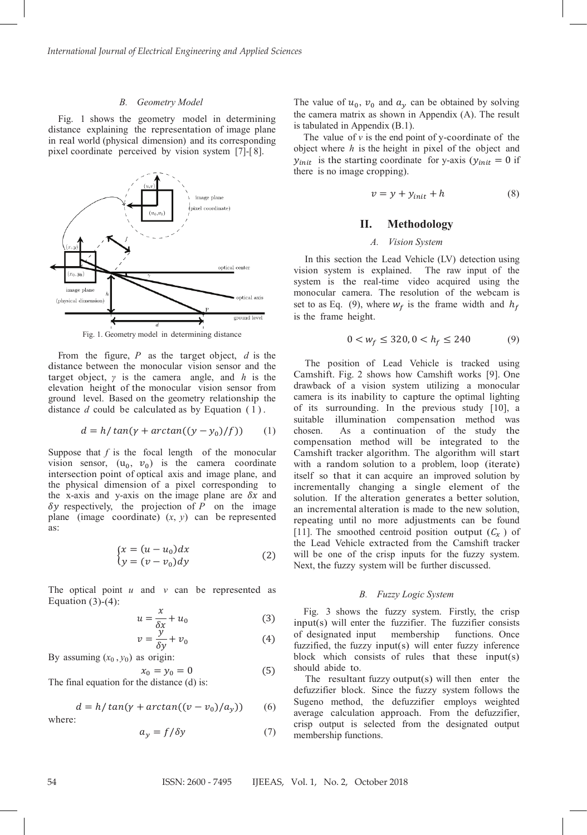#### *B. Geometry Model*

Fig. 1 shows the geometry model in determining distance explaining the representation of image plane in real world (physical dimension) and its corresponding pixel coordinate perceived by vision system [7]-[ 8].



Fig. 1. Geometry model in determining distance

From the figure, *P* as the target object, *d* is the distance between the monocular vision sensor and the target object, *γ* is the camera angle, and *h* is the elevation height of the monocular vision sensor from ground level. Based on the geometry relationship the distance  $d$  could be calculated as by Equation  $(1)$ .

$$
d = h / \tan(\gamma + \arctan((y - y_0) / f)) \qquad (1)
$$

Suppose that *f* is the focal length of the monocular vision sensor,  $(u_0, v_0)$  is the camera coordinate intersection point of optical axis and image plane, and the physical dimension of a pixel corresponding to the x-axis and y-axis on the image plane are  $\delta x$  and  $\delta y$  respectively, the projection of  $P$  on the image plane (image coordinate)  $(x, y)$  can be represented as:

$$
\begin{cases}\n x = (u - u_0) dx \\
 y = (v - v_0) dy\n\end{cases} \tag{2}
$$

The optical point *u* and *v* can be represented as Equation  $(3)-(4)$ :

$$
u = \frac{x}{\delta x} + u_0 \tag{3}
$$

$$
v = \frac{y}{\delta y} + v_0 \tag{4}
$$

By assuming 
$$
(x_0, y_0)
$$
 as origin:

$$
x_0 = y_0 = 0 \tag{5}
$$

The final equation for the distance (d) is:

$$
d = h / \tan(\gamma + \arctan((v - v_0) / a_y))
$$
 (6)

where:

$$
a_y = f/\delta y \tag{7}
$$

The value of  $u_0$ ,  $v_0$  and  $a_v$  can be obtained by solving the camera matrix as shown in Appendix (A). The result is tabulated in Appendix (B.1).

The value of  $\nu$  is the end point of y-coordinate of the object where *h* is the height in pixel of the object and  $y_{init}$  is the starting coordinate for y-axis ( $y_{init} = 0$  if there is no image cropping).

$$
v = y + y_{init} + h \tag{8}
$$

# **II. Methodology**

# *A. Vision System*

In this section the Lead Vehicle (LV) detection using vision system is explained. The raw input of the system is the real-time video acquired using the monocular camera. The resolution of the webcam is set to as Eq. (9), where  $w_f$  is the frame width and  $h_f$ is the frame height.

$$
0 < w_f \le 320, 0 < h_f \le 240 \tag{9}
$$

The position of Lead Vehicle is tracked using Camshift. Fig. 2 shows how Camshift works [9]. One drawback of a vision system utilizing a monocular camera is its inability to capture the optimal lighting of its surrounding. In the previous study [10], a suitable illumination compensation method was chosen. As a continuation of the study the compensation method will be integrated to the Camshift tracker algorithm. The algorithm will start with a random solution to a problem, loop (iterate) itself so that it can acquire an improved solution by incrementally changing a single element of the solution. If the alteration generates a better solution, an incremental alteration is made to the new solution, repeating until no more adjustments can be found [11]. The smoothed centroid position output  $(C_x)$  of the Lead Vehicle extracted from the Camshift tracker will be one of the crisp inputs for the fuzzy system. Next, the fuzzy system will be further discussed.

### *B. Fuzzy Logic System*

Fig. 3 shows the fuzzy system. Firstly, the crisp input(s) will enter the fuzzifier. The fuzzifier consists of designated input membership functions. Once fuzzified, the fuzzy input(s) will enter fuzzy inference block which consists of rules that these input(s) should abide to.

The resultant fuzzy output(s) will then enter the defuzzifier block. Since the fuzzy system follows the Sugeno method, the defuzzifier employs weighted average calculation approach. From the defuzzifier, crisp output is selected from the designated output membership functions.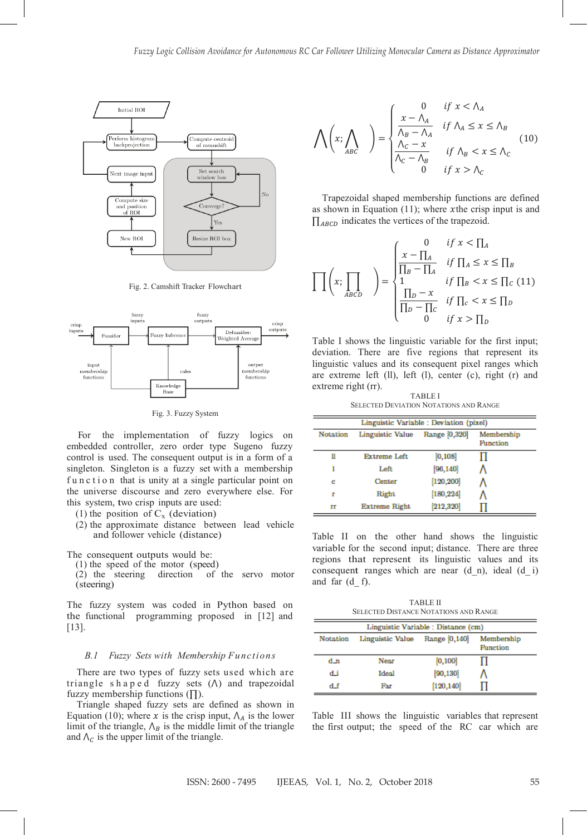

Fig. 2. Camshift Tracker Flowchart



Fig. 3. Fuzzy System

For the implementation of fuzzy logics on embedded controller, zero order type Sugeno fuzzy control is used. The consequent output is in a form of a singleton. Singleton is a fuzzy set with a membership function that is unity at a single particular point on the universe discourse and zero everywhere else. For this system, two crisp inputs are used:

- (1) the position of  $C_x$  (deviation)
- (2) the approximate distance between lead vehicle and follower vehicle (distance)

The consequent outputs would be:

(1) the speed of the motor (speed)<br>(2) the steering direction of

of the servo motor (steering)

The fuzzy system was coded in Python based on the functional programming proposed in [12] and [13].

## *B.1 Fuzzy Sets with Membership Functions*

There are two types of fuzzy sets used which are triangle shaped fuzzy sets  $(\Lambda)$  and trapezoidal fuzzy membership functions (∏).

Triangle shaped fuzzy sets are defined as shown in Equation (10); where x is the crisp input,  $\Lambda_A$  is the lower limit of the triangle,  $\Lambda_B$  is the middle limit of the triangle and  $\Lambda_c$  is the upper limit of the triangle.

$$
\bigwedge \left(x; \bigwedge_{ABC} \right) = \begin{cases} 0 & \text{if } x < \Lambda_A \\ \frac{x - \Lambda_A}{\Lambda_B - \Lambda_A} & \text{if } \Lambda_A \le x \le \Lambda_B \\ \frac{\Lambda_C - x}{\Lambda_C - \Lambda_B} & \text{if } \Lambda_B < x \le \Lambda_C \\ 0 & \text{if } x > \Lambda_C \end{cases} (10)
$$

Trapezoidal shaped membership functions are defined as shown in Equation  $(11)$ ; where xthe crisp input is and  $\prod_{ABCD}$  indicates the vertices of the trapezoid.

$$
\prod\left(x;\prod_{ABCD}\right) = \begin{cases}\n0 & \text{if } x < \prod_A \\
\frac{x-\prod_A}{\prod_B - \prod_A} & \text{if } \prod_A \leq x \leq \prod_B \\
1 & \text{if } \prod_B < x \leq \prod_C \\
\frac{\prod_D - x}{\prod_D - \prod_C} & \text{if } \prod_C < x \leq \prod_D \\
0 & \text{if } x > \prod_D\n\end{cases}
$$

Table I shows the linguistic variable for the first input; deviation. There are five regions that represent its linguistic values and its consequent pixel ranges which are extreme left (ll), left (l), center (c), right (r) and extreme right (rr).

TABLE I SELECTED DEVIATION NOTATIONS AND RANGE

| Linguistic Variable : Deviation (pixel) |                                                             |            |  |  |  |
|-----------------------------------------|-------------------------------------------------------------|------------|--|--|--|
| <b>Notation</b>                         | Range [0,320]<br>Linguistic Value<br>Membership<br>Function |            |  |  |  |
| H                                       | Extreme Left                                                | [0, 108]   |  |  |  |
|                                         | Left                                                        | [96, 140]  |  |  |  |
| c                                       | Center                                                      | [120, 200] |  |  |  |
| г                                       | Right                                                       | [180, 224] |  |  |  |
| гг                                      | Extreme Right                                               | [212, 320] |  |  |  |

Table II on the other hand shows the linguistic variable for the second input; distance. There are three regions that represent its linguistic values and its consequent ranges which are near  $(d_n)$ , ideal  $(d_i)$ and far (d\_ f).

TABLE II SELECTED DISTANCE NOTATIONS AND RANGE

| Linguistic Variable : Distance (cm)                                            |             |            |  |  |
|--------------------------------------------------------------------------------|-------------|------------|--|--|
| Range [0,140]<br>Membership<br>Linguistic Value<br><b>Notation</b><br>Function |             |            |  |  |
| d_n                                                                            | <b>Near</b> | [0, 100]   |  |  |
| d.i                                                                            | Ideal       | [90, 130]  |  |  |
| d f                                                                            | Far         | [120, 140] |  |  |

Table III shows the linguistic variables that represent the first output; the speed of the RC car which are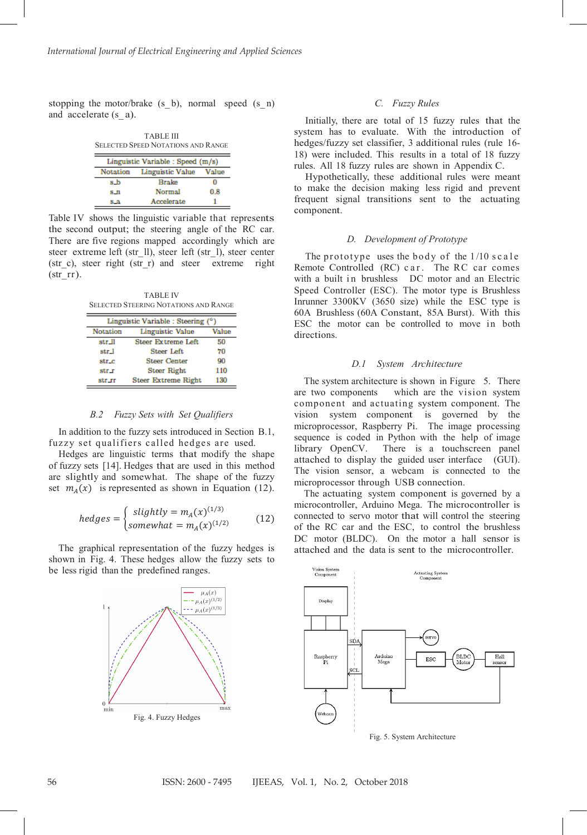stopping the motor/brake  $(s_b)$ , normal speed  $(s_n)$ and accelerate (s\_ a).

| <b>TARLE III</b><br><b>SELECTED SPEED NOTATIONS AND RANGE</b> |                         |       |  |  |
|---------------------------------------------------------------|-------------------------|-------|--|--|
| Linguistic Variable : Speed (m/s)                             |                         |       |  |  |
| Notation                                                      | <b>Linguistic Value</b> | Value |  |  |
| s b                                                           | <b>Brake</b>            |       |  |  |
| $S_{\perp}$                                                   | <b>Normal</b>           | 0.8   |  |  |
| 8.3                                                           | Accelerate              |       |  |  |

Table IV shows the linguistic variable that represents the second output; the steering angle of the RC car. There are five regions mapped accordingly which are steer extreme left (str\_ll), steer left (str\_l), steer center (str\_c), steer right (str\_r) and steer extreme right  $(strrr)$ .

TABLE IV SELECTED STEERING NOTATIONS AND RANGE

| Linguistic Variable : Steering (°) |                            |       |  |  |
|------------------------------------|----------------------------|-------|--|--|
| <b>Notation</b>                    | Linguistic Value           | Value |  |  |
| str_ll                             | <b>Steer Extreme Left</b>  | 50    |  |  |
| str_l                              | <b>Steer Left</b>          | 70    |  |  |
| str_c                              | <b>Steer Center</b>        | 90    |  |  |
| str_r                              | <b>Steer Right</b>         | 110   |  |  |
| str_rr                             | <b>Steer Extreme Right</b> | 130   |  |  |

### *B.2 Fuzzy Sets with Set Qualifiers*

In addition to the fuzzy sets introduced in Section B.1, fuzzy set qualifiers called hedges are used.

Hedges are linguistic terms that modify the shape of fuzzy sets [14]. Hedges that are used in this method are slightly and somewhat. The shape of the fuzzy set  $m_A(x)$  is represented as shown in Equation (12).

$$
hedges = \begin{cases} slightly = m_A(x)^{(1/3)} \\ somewhat = m_A(x)^{(1/2)} \end{cases} (12)
$$

The graphical representation of the fuzzy hedges is shown in Fig. 4. These hedges allow the fuzzy sets to be less rigid than the predefined ranges.



### *C. Fuzzy Rules*

Initially, there are total of 15 fuzzy rules that the system has to evaluate. With the introduction of hedges/fuzzy set classifier, 3 additional rules (rule 16- 18) were included. This results in a total of 18 fuzzy rules. All 18 fuzzy rules are shown in Appendix C.

Hypothetically, these additional rules were meant to make the decision making less rigid and prevent frequent signal transitions sent to the actuating component.

### *D. Development of Prototype*

The prototype uses the body of the 1/10 scale Remote Controlled (RC) car . The RC car comes with a built in brushless DC motor and an Electric Speed Controller (ESC). The motor type is Brushless Inrunner 3300KV (3650 size) while the ESC type is 60A Brushless (60A Constant, 85A Burst). With this ESC the motor can be controlled to move in both directions.

### *D.1 System Architecture*

The system architecture is shown in Figure 5. There are two components which are the vision system component and actuating system component. The vision system component is governed by the microprocessor, Raspberry Pi. The image processing sequence is coded in Python with the help of image library OpenCV. There is a touchscreen panel attached to display the guided user interface (GUI). The vision sensor, a webcam is connected to the microprocessor through USB connection.

The actuating system component is governed by a microcontroller, Arduino Mega. The microcontroller is connected to servo motor that will control the steering of the RC car and the ESC, to control the brushless DC motor (BLDC). On the motor a hall sensor is attached and the data is sent to the microcontroller.

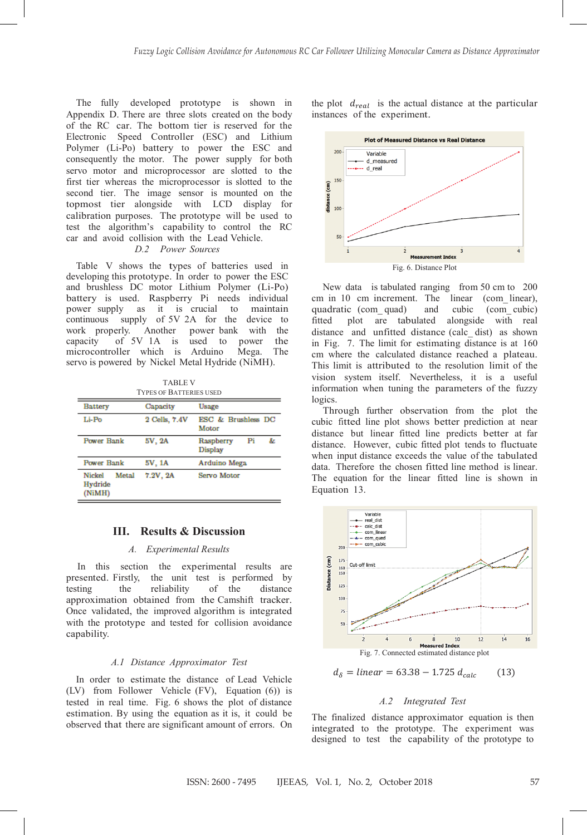The fully developed prototype is shown in Appendix D. There are three slots created on the body of the RC car. The bottom tier is reserved for the Electronic Speed Controller (ESC) and Lithium Polymer (Li-Po) battery to power the ESC and consequently the motor. The power supply for both servo motor and microprocessor are slotted to the first tier whereas the microprocessor is slotted to the second tier. The image sensor is mounted on the topmost tier alongside with LCD display for calibration purposes. The prototype will be used to test the algorithm's capability to control the RC car and avoid collision with the Lead Vehicle.

# *D.2 Power Sources*

Table V shows the types of batteries used in developing this prototype. In order to power the ESC and brushless DC motor Lithium Polymer (Li-Po) battery is used. Raspberry Pi needs individual power supply as it is crucial to maintain continuous supply of 5V 2A for the device to work properly. Another power bank with the capacity of 5V 1A is used to power the of  $5V$  1A is used to power the microcontroller which is Arduino Mega. The servo is powered by Nickel Metal Hydride (NiMH).

TABLE V TYPES OF BATTERIES USED

| <b>Battery</b>                              | Capacity      | Usage                                   |  |
|---------------------------------------------|---------------|-----------------------------------------|--|
| Li-Po                                       | 2 Cells, 7.4V | <b>ESC &amp; Brushless DC</b><br>Motor  |  |
| <b>Power Bank</b>                           | 5V, 2A        | Raspberry<br>Pi<br>&.<br><b>Display</b> |  |
| <b>Power Bank</b>                           | 5V, 1A        | Arduino Mega                            |  |
| Metal<br><b>Nickel</b><br>Hydride<br>(NiMH) | 7.2V.2A       | Servo Motor                             |  |

## **III. Results & Discussion**

### *A. Experimental Results*

In this section the experimental results are presented. Firstly, the unit test is performed by testing the reliability of the distance testing the reliability of the distance approximation obtained from the Camshift tracker. Once validated, the improved algorithm is integrated with the prototype and tested for collision avoidance capability.

### *A.1 Distance Approximator Test*

In order to estimate the distance of Lead Vehicle (LV) from Follower Vehicle (FV), Equation (6)) is tested in real time. Fig. 6 shows the plot of distance estimation. By using the equation as it is, it could be observed that there are significant amount of errors. On the plot  $d_{real}$  is the actual distance at the particular instances of the experiment.



New data is tabulated ranging from 50 cm to 200 cm in 10 cm increment. The linear (com\_ linear), quadratic (com\_ quad) and cubic (com\_ cubic) fitted plot are tabulated alongside with real distance and unfitted distance (calc\_ dist) as shown in Fig. 7. The limit for estimating distance is at 160 cm where the calculated distance reached a plateau. This limit is attributed to the resolution limit of the vision system itself. Nevertheless, it is a useful information when tuning the parameters of the fuzzy logics.

Through further observation from the plot the cubic fitted line plot shows better prediction at near distance but linear fitted line predicts better at far distance. However, cubic fitted plot tends to fluctuate when input distance exceeds the value of the tabulated data. Therefore the chosen fitted line method is linear. The equation for the linear fitted line is shown in Equation 13.



 $d_{\delta} = linear = 63.38 - 1.725 d_{calc}$  (13)

### *A.2 Integrated Test*

The finalized distance approximator equation is then integrated to the prototype. The experiment was designed to test the capability of the prototype to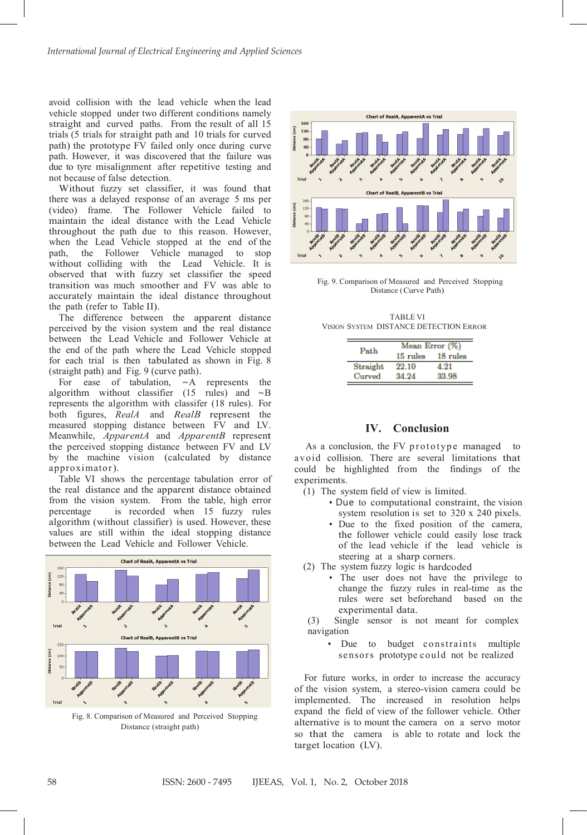avoid collision with the lead vehicle when the lead vehicle stopped under two different conditions namely straight and curved paths. From the result of all 15 trials (5 trials for straight path and 10 trials for curved path) the prototype FV failed only once during curve path. However, it was discovered that the failure was due to tyre misalignment after repetitive testing and not because of false detection.

Without fuzzy set classifier, it was found that there was a delayed response of an average 5 ms per (video) frame. The Follower Vehicle failed to maintain the ideal distance with the Lead Vehicle throughout the path due to this reason. However, when the Lead Vehicle stopped at the end of the path, the Follower Vehicle managed to stop without colliding with the Lead Vehicle. It is observed that with fuzzy set classifier the speed transition was much smoother and FV was able to accurately maintain the ideal distance throughout the path (refer to Table II).

The difference between the apparent distance perceived by the vision system and the real distance between the Lead Vehicle and Follower Vehicle at the end of the path where the Lead Vehicle stopped for each trial is then tabulated as shown in Fig. 8 (straight path) and Fig. 9 (curve path).<br>For ease of tabulation,  $\sim A$  represents

For ease of tabulation, ∼A represents the algorithm without classifier (15 rules) and ∼B represents the algorithm with classifer (18 rules). For both figures, *RealA* and *RealB* represent the measured stopping distance between FV and LV. Meanwhile, *ApparentA* and *ApparentB* represent the perceived stopping distance between FV and LV by the machine vision (calculated by distance approximator).

Table VI shows the percentage tabulation error of the real distance and the apparent distance obtained from the vision system. From the table, high error percentage is recorded when 15 fuzzy rules algorithm (without classifier) is used. However, these values are still within the ideal stopping distance between the Lead Vehicle and Follower Vehicle.



Fig. 8. Comparison of Measured and Perceived Stopping Distance (straight path)



Fig. 9. Comparison of Measured and Perceived Stopping Distance (Curve Path)

TABLE VI VISION SYSTEM DISTANCE DETECTION ERROR

| Path     | Mean Error (%) |          |  |
|----------|----------------|----------|--|
|          | 15 rules       | 18 rules |  |
| Straight | 22.10          | 4.91     |  |
| Curved   | 24 9A          | 33.98    |  |

### **IV. Conclusion**

As a conclusion, the FV prototype managed to avoid collision. There are several limitations that could be highlighted from the findings of the experiments.

- (1) The system field of view is limited.
	- Due to computational constraint, the vision system resolution is set to 320 x 240 pixels.
	- Due to the fixed position of the camera, the follower vehicle could easily lose track of the lead vehicle if the lead vehicle is steering at a sharp corners.
- (2) The system fuzzy logic is hardcoded
	- The user does not have the privilege to change the fuzzy rules in real-time as the rules were set beforehand based on the experimental data.
- (3) Single sensor is not meant for complex navigation
	- Due to budget constraints multiple sensors prototype could not be realized

For future works, in order to increase the accuracy of the vision system, a stereo-vision camera could be implemented. The increased in resolution helps expand the field of view of the follower vehicle. Other alternative is to mount the camera on a servo motor so that the camera is able to rotate and lock the target location (LV).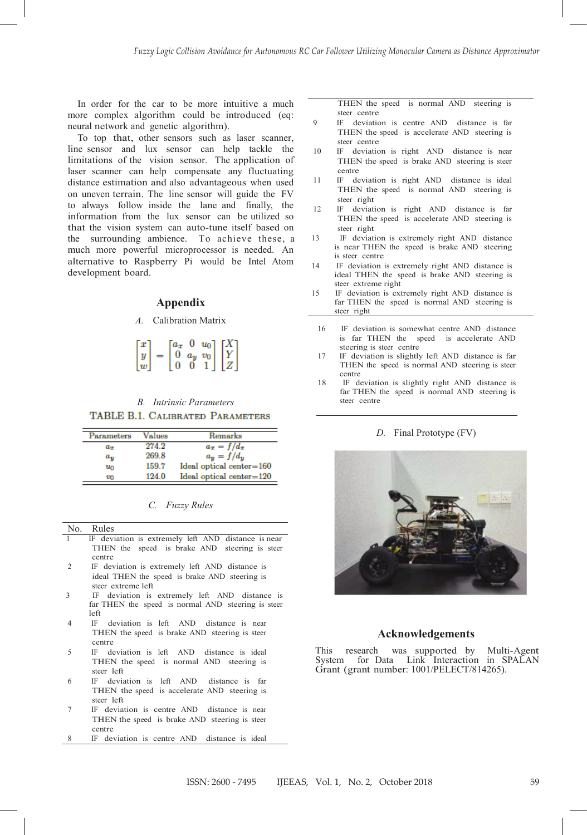In order for the car to be more intuitive a much more complex algorithm could be introduced (eq: neural network and genetic algorithm).

To top that, other sensors such as laser scanner, line sensor and lux sensor can help tackle the limitations of the vision sensor. The application of laser scanner can help compensate any fluctuating distance estimation and also advantageous when used on uneven terrain. The line sensor will guide the FV to always follow inside the lane and finally, the information from the lux sensor can be utilized so that the vision system can auto-tune itself based on the surrounding ambience. To achieve these, a much more powerful microprocessor is needed. An alternative to Raspberry Pi would be Intel Atom development board.

# **Appendix**

# *A.* Calibration Matrix

|                                                   | $[a_x]$ |                                                                                                     |  |
|---------------------------------------------------|---------|-----------------------------------------------------------------------------------------------------|--|
|                                                   |         | $0 \ a_y \ v_0$                                                                                     |  |
| $\left[\begin{matrix} x\ y\ w\end{matrix}\right]$ | 0       | $\begin{bmatrix} 0 & u_0 \ a_y & v_0 \ 0 & 1 \end{bmatrix} \begin{bmatrix} X \ Y \ Z \end{bmatrix}$ |  |

*B. Intrinsic Parameters* TABLE B.1. CALIBRATED PARAMETERS

| Parameters | Values | Remarks                             |
|------------|--------|-------------------------------------|
| $a_x$      | 274.2  | $a_x = f/d_x$                       |
| $a_y$      | 269.8  | $a_{\mathbf{u}} = f/d_{\mathbf{u}}$ |
| $u_0$      | 159.7  | Ideal optical center=160            |
| vo         | 124.0  | $Ideal optical center = 120$        |

| <i>Fuzzy Rules</i> |  |
|--------------------|--|
|                    |  |

|   | No. Rules                                           |
|---|-----------------------------------------------------|
| 1 | IF deviation is extremely left AND distance is near |
|   | THEN the speed is brake AND steering is steer       |
|   | centre                                              |
| 2 | IF deviation is extremely left AND distance is      |
|   | ideal THEN the speed is brake AND steering is       |
|   | steer extreme left                                  |
| 3 | IF deviation is extremely left AND distance is      |
|   | far THEN the speed is normal AND steering is steer  |
|   | left                                                |
| 4 | IF deviation is left AND distance is near           |
|   | THEN the speed is brake AND steering is steer       |
|   | centre                                              |
| 5 | IF deviation is left AND distance is ideal          |
|   | THEN the speed is normal AND steering is            |
|   | steer left                                          |
| 6 | IE deviation is left AND distance is far            |

- 6 IF deviation is left AND distance is far THEN the speed is accelerate AND steering is steer left
- IF deviation is centre AND distance is near THEN the speed is brake AND steering is steer centre
- IF deviation is centre AND distance is ideal

THEN the speed is normal AND steering is steer centre

- 9 IF deviation is centre AND distance is far THEN the speed is accelerate AND steering is steer centre
- <sup>10</sup> IF deviation is right AND distance is near THEN the speed is brake AND steering is steer centre
- <sup>11</sup> IF deviation is right AND distance is ideal THEN the speed is normal AND steering is steer right
- <sup>12</sup> IF deviation is right AND distance is far THEN the speed is accelerate AND steering is steer right
- 13 IF deviation is extremely right AND distance is near THEN the speed is brake AND steering is steer centre
- 14 IF deviation is extremely right AND distance is ideal THEN the speed is brake AND steering is steer extreme right
- 15 IF deviation is extremely right AND distance is far THEN the speed is normal AND steering is steer right
	- 16 IF deviation is somewhat centre AND distance is far THEN the speed is accelerate AND steering is steer centre
- 17 IF deviation is slightly left AND distance is far THEN the speed is normal AND steering is steer centre
- 18 IF deviation is slightly right AND distance is far THEN the speed is normal AND steering is steer centre

### *D.* Final Prototype (FV)



#### **Acknowledgements**

This research was supported by Multi-Agent System for Data Link Interaction in SPALAN Grant (grant number: 1001/PELECT/814265).